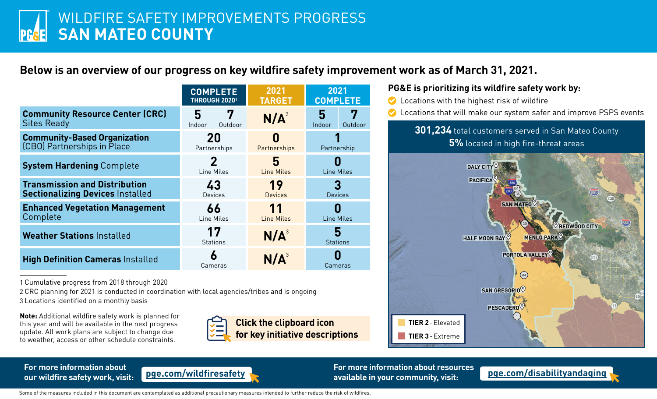## **Below is an overview of our progress on key wildfire safety improvement work as of March 31, 2021.**

|                                                                                 | <b>COMPLETE</b><br>THROUGH 20201        |                  | 2021<br><b>TARGET</b>       |  | 2021<br><b>COMPLETE</b> |              |
|---------------------------------------------------------------------------------|-----------------------------------------|------------------|-----------------------------|--|-------------------------|--------------|
| <b>Community Resource Center (CRC)</b><br><b>Sites Ready</b>                    | 5<br>Indoor                             | 7<br>Outdoor     | N/A <sup>2</sup>            |  | 5<br>Indoor             | 7<br>Outdoor |
| <b>Community-Based Organization</b><br>(CBO) Partnerships in Place              | 20<br>0<br>Partnerships<br>Partnerships |                  | Partnership                 |  |                         |              |
| <b>System Hardening Complete</b>                                                | 2<br>Line Miles                         |                  | 5<br><b>Line Miles</b>      |  | <b>Line Miles</b>       |              |
| <b>Transmission and Distribution</b><br><b>Sectionalizing Devices Installed</b> | 43<br><b>Devices</b>                    |                  | 19<br><b>Devices</b>        |  | 3<br><b>Devices</b>     |              |
| <b>Enhanced Vegetation Management</b><br>Complete                               |                                         | 66<br>Line Miles | 11<br><b>Line Miles</b>     |  | I<br><b>Line Miles</b>  |              |
| <b>Weather Stations Installed</b>                                               | 17                                      | <b>Stations</b>  | $N/A^3$                     |  | 5<br><b>Stations</b>    |              |
| <b>High Definition Cameras Installed</b>                                        | 6                                       | Cameras          | N/A <sup>3</sup><br>Cameras |  |                         |              |

1 Cumulative progress from 2018 through 2020

2 CRC planning for 2021 is conducted in coordination with local agencies/tribes and is ongoing

3 Locations identified on a monthly basis

**Note:** Additional wildfire safety work is planned for this year and will be available in the next progress update. All work plans are subject to change due to weather, access or other schedule constraints.



## **PG&E is prioritizing its wildfire safety work by:**

◆ Locations with the highest risk of wildfire Locations that will make our system safer and improve PSPS events **301,234** total customers served in San Mateo County **5%** located in high fire-threat areas DALY CITY **PACIFICA SAN MATEO** REDWOOD CITY **HALF MOON BAY MENLO PARK** PORTOLA VALLEY  $\left(84\right)$ SAN GREGORIO **PESCADERO TIER 2**-Elevated **TIER 3**-Extreme

## **For more information about**



**our wildfire safety work, visit: [pge.com/wildfiresafety](https://www.pge.com/en_US/safety/emergency-preparedness/natural-disaster/wildfires/wildfire-safety.page?WT.mc_id=Vanity_wildfiresafety) For more information about resources available in your community, visit: [pge.com/disabilityandaging](http://pge.com/disabilityandaging)**

Some of the measures included in this document are contemplated as additional precautionary measures intended to further reduce the risk of wildfires.